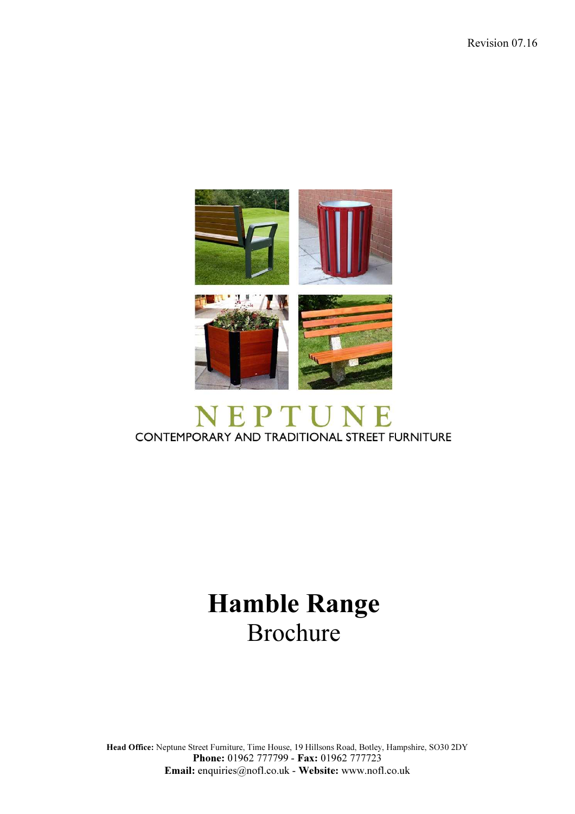

## CONTEMPORARY AND TRADITIONAL STREET FURNITURE

## Hamble Range Brochure

Head Office: Neptune Street Furniture, Time House, 19 Hillsons Road, Botley, Hampshire, SO30 2DY Phone: 01962 777799 - Fax: 01962 777723 Email: enquiries@nofl.co.uk - Website: www.nofl.co.uk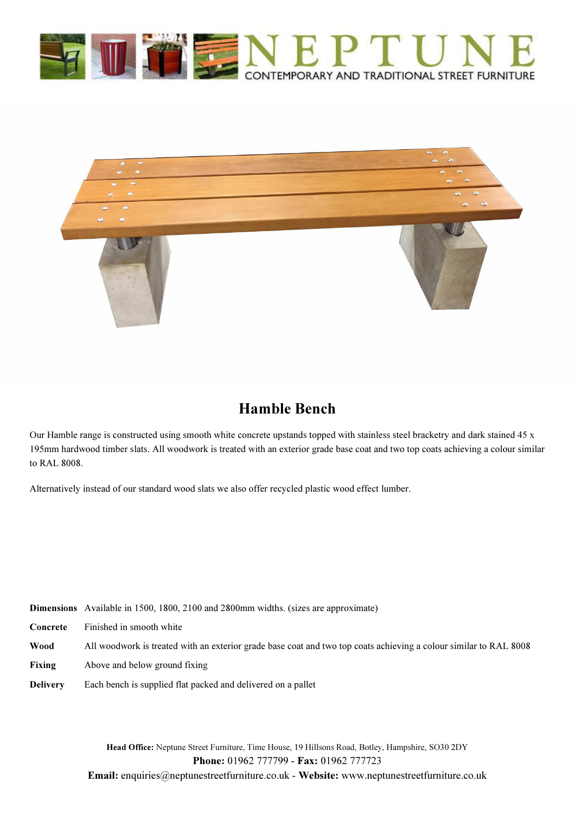



## Hamble Bench

Our Hamble range is constructed using smooth white concrete upstands topped with stainless steel bracketry and dark stained 45 x 195mm hardwood timber slats. All woodwork is treated with an exterior grade base coat and two top coats achieving a colour similar to RAL 8008.

Alternatively instead of our standard wood slats we also offer recycled plastic wood effect lumber.

| Dimensions Available in 1500, 1800, 2100 and 2800mm widths. (sizes are approximate) |  |
|-------------------------------------------------------------------------------------|--|
|-------------------------------------------------------------------------------------|--|

- Concrete Finished in smooth white
- Wood All woodwork is treated with an exterior grade base coat and two top coats achieving a colour similar to RAL 8008
- Fixing Above and below ground fixing
- Delivery Each bench is supplied flat packed and delivered on a pallet

Head Office: Neptune Street Furniture, Time House, 19 Hillsons Road, Botley, Hampshire, SO30 2DY Phone: 01962 777799 - Fax: 01962 777723 Email: enquiries@neptunestreetfurniture.co.uk - Website: www.neptunestreetfurniture.co.uk